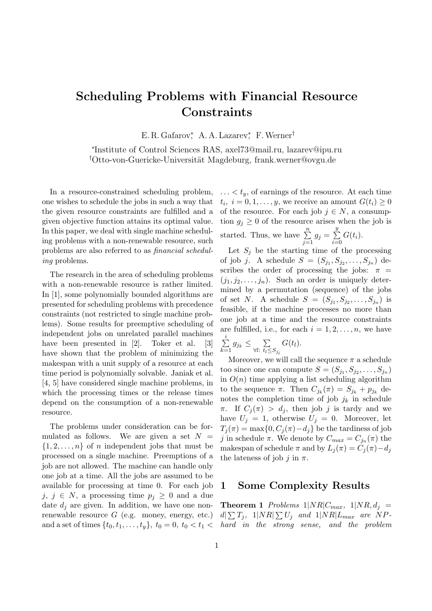# Scheduling Problems with Financial Resource **Constraints**

E. R. Gafarov<sup>\*</sup>, A. A. Lazarev<sup>\*</sup>, F. Werner<sup>†</sup>

∗ Institute of Control Sciences RAS, axel73@mail.ru, lazarev@ipu.ru <sup>†</sup>Otto-von-Guericke-Universität Magdeburg, frank.werner@ovgu.de

In a resource-constrained scheduling problem, one wishes to schedule the jobs in such a way that the given resource constraints are fulfilled and a given objective function attains its optimal value. In this paper, we deal with single machine scheduling problems with a non-renewable resource, such problems are also referred to as financial scheduling problems.

The research in the area of scheduling problems with a non-renewable resource is rather limited. In [1], some polynomially bounded algorithms are presented for scheduling problems with precedence constraints (not restricted to single machine problems). Some results for preemptive scheduling of independent jobs on unrelated parallel machines have been presented in [2]. Toker et al. [3] have shown that the problem of minimizing the makespan with a unit supply of a resource at each time period is polynomially solvable. Janiak et al. [4, 5] have considered single machine problems, in which the processing times or the release times depend on the consumption of a non-renewable resource.

The problems under consideration can be formulated as follows. We are given a set  $N =$  $\{1, 2, \ldots, n\}$  of *n* independent jobs that must be processed on a single machine. Preemptions of a job are not allowed. The machine can handle only one job at a time. All the jobs are assumed to be available for processing at time 0. For each job j, j  $\in$  N, a processing time  $p_i \geq 0$  and a due date  $d_i$  are given. In addition, we have one nonrenewable resource  $G$  (e.g. money, energy, etc.) and a set of times  $\{t_0, t_1, \ldots, t_y\}, t_0 = 0, t_0 < t_1$   $\dots$  <  $t_u$ , of earnings of the resource. At each time  $t_i, i = 0, 1, \ldots, y$ , we receive an amount  $G(t_i) \geq 0$ of the resource. For each job  $j \in N$ , a consumption  $g_i \geq 0$  of the resource arises when the job is started. Thus, we have  $\sum_{n=1}^{\infty}$  $\sum_{j=1} g_j = \sum_{i=0}$  $\overline{y}$  $\sum_{i=0} G(t_i).$ 

Let  $S_j$  be the starting time of the processing of job *j*. A schedule  $S = (S_{j_1}, S_{j_2}, \dots, S_{j_n})$  describes the order of processing the jobs:  $\pi$  =  $(j_1, j_2, \ldots, j_n)$ . Such an order is uniquely determined by a permutation (sequence) of the jobs of set N. A schedule  $S = (S_{j_1}, S_{j_2}, \ldots, S_{j_n})$  is feasible, if the machine processes no more than one job at a time and the resource constraints are fulfilled, i.e., for each  $i = 1, 2, \ldots, n$ , we have  $\sum_{i=1}^{i}$  $\sum_{k=1} g_{j_k} \leq \sum_{\forall l: t_l \leq \varepsilon}$  $\forall l: t_l \leq S_j$ <sub>i</sub>  $G(t_l)$ .

Moreover, we will call the sequence  $\pi$  a schedule too since one can compute  $S = (S_{j_1}, S_{j_2}, \ldots, S_{j_n})$ in  $O(n)$  time applying a list scheduling algorithm to the sequence  $\pi$ . Then  $C_{j_k}(\pi) = S_{j_k} + p_{j_k}$  denotes the completion time of job  $j_k$  in schedule  $\pi$ . If  $C_i(\pi) > d_i$ , then job j is tardy and we have  $U_j = 1$ , otherwise  $U_j = 0$ . Moreover, let  $T_i(\pi) = \max\{0, C_i(\pi) - d_i\}$  be the tardiness of job j in schedule  $\pi$ . We denote by  $C_{max} = C_{j_n}(\pi)$  the makespan of schedule  $\pi$  and by  $L_i(\pi) = C_i(\pi) - d_i$ the lateness of job j in  $\pi$ .

#### 1 Some Complexity Results

**Theorem 1** Problems  $1|NR|C_{max}$ ,  $1|NR, d_i =$  $d\sum T_j$ ,  $1|NR|\sum U_j$  and  $1|NR|L_{max}$  are NPhard in the strong sense, and the problem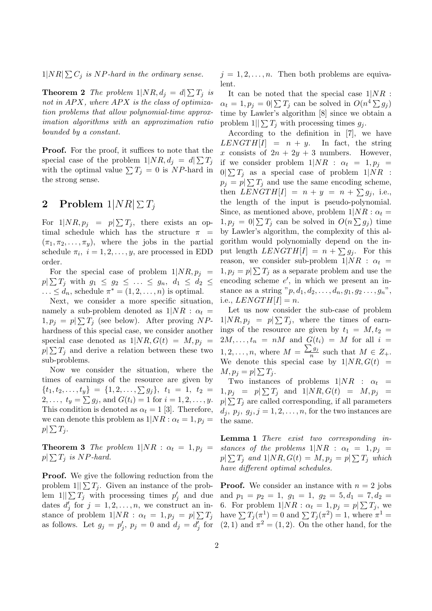$1|NR| \sum C_j$  is NP-hard in the ordinary sense.

**Theorem 2** The problem  $1|NR, d_j = d\sum T_j$  is not in  $APX$ , where  $APX$  is the class of optimization problems that allow polynomial-time approximation algorithms with an approximation ratio bounded by a constant.

**Proof.** For the proof, it suffices to note that the special case of the problem  $1|NR, d_j = d|\sum T_j$ with the optimal value  $\sum T_j = 0$  is NP-hard in the strong sense.

## $2 \quad \textbf{Problem 1} |NR| \, \Sigma \, T_j$

For  $1|NR, p_j = p|\sum T_j$ , there exists an optimal schedule which has the structure  $\pi$  =  $(\pi_1, \pi_2, \ldots, \pi_y)$ , where the jobs in the partial schedule  $\pi_i$ ,  $i = 1, 2, \dots, y$ , are processed in EDD order.

For the special case of problem  $1|NR, p_j| =$  $p|\sum T_j$  with  $g_1 \leq g_2 \leq \ldots \leq g_n, \ d_1 \leq d_2 \leq$  $\ldots \leq d_n$ , schedule  $\pi^* = (1, 2, \ldots, n)$  is optimal.

Next, we consider a more specific situation, namely a sub-problem denoted as  $1/NR$ :  $\alpha_t$  =  $1, p_j = p \sum T_j$  (see below). After proving NPhardness of this special case, we consider another special case denoted as  $1|NR, G(t) = M, p_j$  $p|\sum T_j$  and derive a relation between these two sub-problems.

Now we consider the situation, where the times of earnings of the resource are given by  $\{t_1, t_2, \ldots, t_y\} = \{1, 2, \ldots, \sum g_j\}, t_1 = 1, t_2 =$  $2, \ldots, t_y = \sum g_j$ , and  $G(t_i) = 1$  for  $i = 1, 2, \ldots, y$ . This condition is denoted as  $\alpha_t = 1$  [3]. Therefore, we can denote this problem as  $1/NR$ :  $\alpha_t = 1, p_i =$  $p \vert \sum T_j$ .

**Theorem 3** The problem  $1|NR: \alpha_t = 1, p_j =$  $p|\sum T_j$  is NP-hard.

**Proof.** We give the following reduction from the problem  $1||\sum T_i$ . Given an instance of the problem  $1||\sum T_j$  with processing times  $p'_j$  and due dates  $d'_j$  for  $j = 1, 2, ..., n$ , we construct an instance of problem  $1|NR : \alpha_t = 1, p_j = p | \sum T_j$  have  $\sum T_j(\pi^1) = 0$  and  $\sum T_j(\pi^2) = 1$ , where  $\pi^1 =$ 

 $j = 1, 2, \ldots, n$ . Then both problems are equivalent.

It can be noted that the special case  $1|NR$ :  $\alpha_t = 1, p_j = 0 \mid \sum T_j$  can be solved in  $O(n^4 \sum g_j)$ time by Lawler's algorithm [8] since we obtain a problem  $1|| \sum T_i$  with processing times  $q_i$ .

According to the definition in [7], we have  $LENGTH[I] = n + y$ . In fact, the string x consists of  $2n + 2y + 3$  numbers. However, if we consider problem  $1/NR$ :  $\alpha_t = 1, p_i =$  $0|\sum T_j$  as a special case of problem  $1|NR$  :  $p_j = p_j \sum T_j$  and use the same encoding scheme, then  $LENGTH[I] = n + y = n + \sum g_j$ , i.e., the length of the input is pseudo-polynomial. Since, as mentioned above, problem  $1/NR$ :  $\alpha_t =$  $1, p_j = 0 | \sum T_j$  can be solved in  $O(n \sum g_j)$  time by Lawler's algorithm, the complexity of this algorithm would polynomially depend on the input length  $LENGTH[I] = n + \sum g_j$ . For this reason, we consider sub-problem  $1|NR$ :  $\alpha_t$  =  $1, p_j = p \sum T_j$  as a separate problem and use the encoding scheme  $e'$ , in which we present an instance as a string  $"p, d_1, d_2, \ldots, d_n, g_1, g_2 \ldots, g_n"$ , i.e.,  $LENGTH[I] = n$ .

Let us now consider the sub-case of problem  $1|NR, p_j = p| \sum T_j$ , where the times of earnings of the resource are given by  $t_1 = M, t_2 =$  $2M, \ldots, t_n = nM$  and  $G(t_i) = M$  for all  $i =$  $1, 2, \ldots, n$ , where  $M = \frac{\sum g_j}{n}$  $\frac{1}{n}$  such that  $M \in Z_+$ . We denote this special case by  $1/NR$ ,  $G(t)$  =  $M, p_j = p \mid \sum T_j.$ 

Two instances of problems  $1/NR$  :  $\alpha_t$  =  $1, p_j = p \sum T_j$  and  $1|NR, G(t) = M, p_j =$  $p|\sum T_j$  are called corresponding, if all parameters  $d_j, p_j, g_j, j = 1, 2, \ldots, n$ , for the two instances are the same.

Lemma 1 There exist two corresponding instances of the problems  $1|NR$  :  $\alpha_t = 1, p_i =$  $p|\sum T_j$  and  $1|NR, G(t)=M, p_j=p|\sum T_j$  which have different optimal schedules.

as follows. Let  $g_j = p'_j$ ,  $p_j = 0$  and  $d_j = d'_j$  for  $(2,1)$  and  $\pi^2 = (1,2)$ . On the other hand, for the **Proof.** We consider an instance with  $n = 2$  jobs and  $p_1 = p_2 = 1$ ,  $q_1 = 1$ ,  $q_2 = 5$ ,  $d_1 = 7$ ,  $d_2 =$ 6. For problem  $1|NR: \alpha_t = 1, p_j = p|\sum T_j$ , we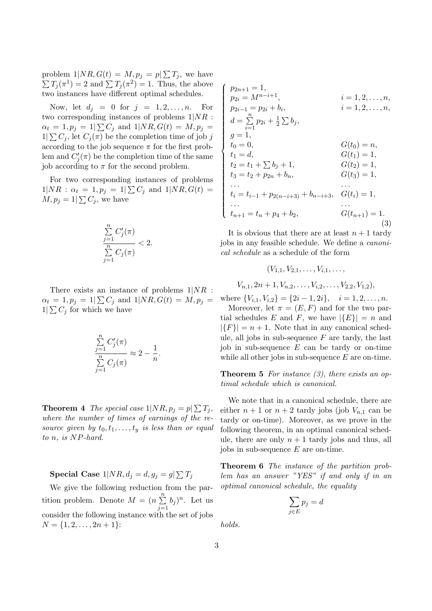problem  $1|NR, G(t) = M, p_j = p|\sum T_j$ , we have  $\sum T_j(\pi^1) = 2$  and  $\sum T_j(\pi^2) = 1$ . Thus, the above two instances have different optimal schedules.

Now, let  $d_j = 0$  for  $j = 1, 2, \ldots, n$ . For two corresponding instances of problems  $1|NR$ :  $\alpha_t = 1, p_j = 1 \mid \sum C_j$  and  $1 \mid NR, G(t) = M, p_j =$  $1 \leq C_j$ , let  $C_j(\pi)$  be the completion time of job j according to the job sequence  $\pi$  for the first problem and  $C_j'(\pi)$  be the completion time of the same job according to  $\pi$  for the second problem.

For two corresponding instances of problems  $1|NR: \alpha_t = 1, p_j = 1|\sum C_j \text{ and } 1|NR, G(t) =$  $M, p_j = 1 | \sum C_j$ , we have

$$
\frac{\sum\limits_{j=1}^n C'_j(\pi)}{\sum\limits_{j=1}^n C_j(\pi)} < 2.
$$

There exists an instance of problems  $1/NR$ :  $\alpha_t = 1, p_j = 1 \mid \sum C_j$  and  $1 \mid NR, G(t) = M, p_j =$  $1|\sum C_j$  for which we have

$$
\frac{\sum\limits_{j=1}^n C'_j(\pi)}{\sum\limits_{j=1}^n C_j(\pi)} \approx 2 - \frac{1}{n}.
$$

**Theorem 4** The special case  $1|NR, p_j = p|\sum T_j$ , where the number of times of earnings of the resource given by  $t_0, t_1, \ldots, t_u$  is less than or equal to n, is NP-hard.

 $\textbf{Special Case 1}|NR, d_j=d, g_j=g|\sum T_j$ 

We give the following reduction from the partition problem. Denote  $M = (n \sum_{n=1}^{n}$  $\sum_{j=1}^{n} b_j$ <sup>n</sup>. Let us consider the following instance with the set of jobs  $N = \{1, 2, \ldots, 2n + 1\}$ :

$$
\begin{cases}\np_{2n+1} = 1, & i = 1, 2, ..., n, \\
p_{2i} = M^{n-i+1}, & i = 1, 2, ..., n, \\
p_{2i-1} = p_{2i} + b_i, & i = 1, 2, ..., n, \\
d = \sum_{i=1}^{n} p_{2i} + \frac{1}{2} \sum b_j, & G(t_0) = n, \\
g = 1, & G(t_0) = n, \\
t_1 = d, & G(t_1) = 1, \\
t_2 = t_1 + \sum b_j + 1, & G(t_2) = 1, \\
t_3 = t_2 + p_{2n} + b_n, & G(t_3) = 1, \\
\vdots & \vdots & \vdots \\
t_i = t_{i-1} + p_{2(n-i+3)} + b_{n-i+3}, & G(t_i) = 1, \\
\vdots & \vdots & \vdots \\
t_{n+1} = t_n + p_4 + b_2, & G(t_{n+1}) = 1.\n\end{cases}
$$
\n(3)

It is obvious that there are at least  $n + 1$  tardy jobs in any feasible schedule. We define a canonical schedule as a schedule of the form

$$
(V_{1,1}, V_{2,1}, \ldots, V_{i,1}, \ldots, V_{n,1}, 2n+1, V_{n,2}, \ldots, V_{i,2}, \ldots, V_{2,2}, V_{1,2}),
$$

where  ${V_{i,1}, V_{i,2}} = {2i - 1, 2i}, \quad i = 1, 2, ..., n.$ Moreover, let  $\pi = (E, F)$  and for the two partial schedules E and F, we have  $|\{E\}| = n$  and  $|\{F\}| = n + 1$ . Note that in any canonical schedule, all jobs in sub-sequence  $F$  are tardy, the last job in sub-sequence  $E$  can be tardy or on-time while all other jobs in sub-sequence  $E$  are on-time.

**Theorem 5** For instance  $(3)$ , there exists an optimal schedule which is canonical.

We note that in a canonical schedule, there are either  $n + 1$  or  $n + 2$  tardy jobs (job  $V_{n,1}$  can be tardy or on-time). Moreover, as we prove in the following theorem, in an optimal canonical schedule, there are only  $n + 1$  tardy jobs and thus, all jobs in sub-sequence E are on-time.

Theorem 6 The instance of the partition problem has an answer "YES" if and only if in an optimal canonical schedule, the equality

$$
\sum_{j \in E} p_j = d
$$

holds.